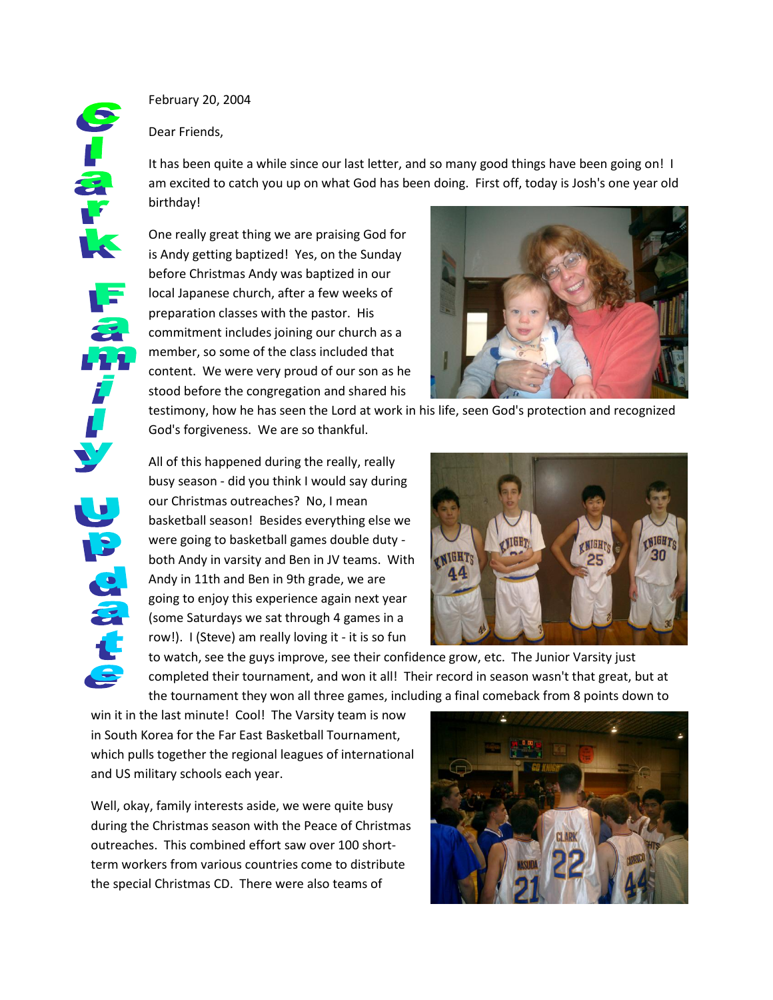February 20, 2004

Dear Friends,

It has been quite a while since our last letter, and so many good things have been going on! I am excited to catch you up on what God has been doing. First off, today is Josh's one year old birthday!

One really great thing we are praising God for is Andy getting baptized! Yes, on the Sunday before Christmas Andy was baptized in our local Japanese church, after a few weeks of preparation classes with the pastor. His commitment includes joining our church as a member, so some of the class included that content. We were very proud of our son as he stood before the congregation and shared his



testimony, how he has seen the Lord at work in his life, seen God's protection and recognized God's forgiveness. We are so thankful.



All of this happened during the really, really busy season - did you think I would say during our Christmas outreaches? No, I mean basketball season! Besides everything else we were going to basketball games double duty both Andy in varsity and Ben in JV teams. With Andy in 11th and Ben in 9th grade, we are going to enjoy this experience again next year (some Saturdays we sat through 4 games in a row!). I (Steve) am really loving it - it is so fun



to watch, see the guys improve, see their confidence grow, etc. The Junior Varsity just completed their tournament, and won it all! Their record in season wasn't that great, but at the tournament they won all three games, including a final comeback from 8 points down to

win it in the last minute! Cool! The Varsity team is now in South Korea for the Far East Basketball Tournament, which pulls together the regional leagues of international and US military schools each year.

Well, okay, family interests aside, we were quite busy during the Christmas season with the Peace of Christmas outreaches. This combined effort saw over 100 shortterm workers from various countries come to distribute the special Christmas CD. There were also teams of

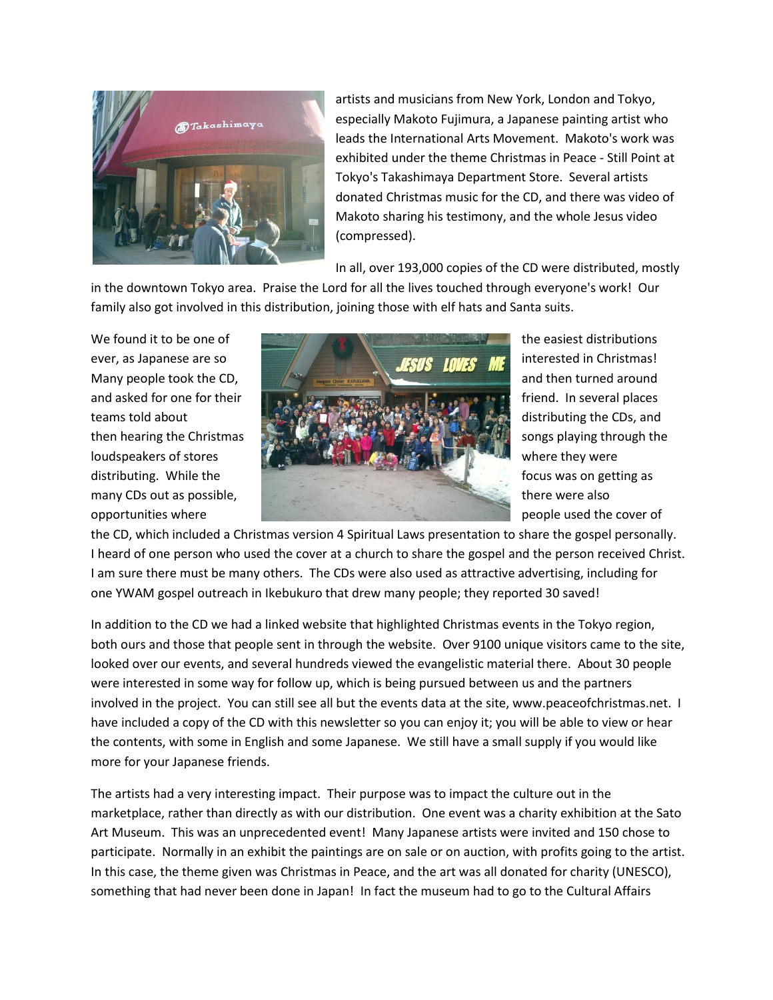

artists and musicians from New York, London and Tokyo, especially Makoto Fujimura, a Japanese painting artist who leads the International Arts Movement. Makoto's work was exhibited under the theme Christmas in Peace - Still Point at Tokyo's Takashimaya Department Store. Several artists donated Christmas music for the CD, and there was video of Makoto sharing his testimony, and the whole Jesus video (compressed).

In all, over 193,000 copies of the CD were distributed, mostly

in the downtown Tokyo area. Praise the Lord for all the lives touched through everyone's work! Our family also got involved in this distribution, joining those with elf hats and Santa suits.



the CD, which included a Christmas version 4 Spiritual Laws presentation to share the gospel personally. I heard of one person who used the cover at a church to share the gospel and the person received Christ. I am sure there must be many others. The CDs were also used as attractive advertising, including for one YWAM gospel outreach in Ikebukuro that drew many people; they reported 30 saved!

In addition to the CD we had a linked website that highlighted Christmas events in the Tokyo region, both ours and those that people sent in through the website. Over 9100 unique visitors came to the site, looked over our events, and several hundreds viewed the evangelistic material there. About 30 people were interested in some way for follow up, which is being pursued between us and the partners involved in the project. You can still see all but the events data at the site, www.peaceofchristmas.net. I have included a copy of the CD with this newsletter so you can enjoy it; you will be able to view or hear the contents, with some in English and some Japanese. We still have a small supply if you would like more for your Japanese friends.

The artists had a very interesting impact. Their purpose was to impact the culture out in the marketplace, rather than directly as with our distribution. One event was a charity exhibition at the Sato Art Museum. This was an unprecedented event! Many Japanese artists were invited and 150 chose to participate. Normally in an exhibit the paintings are on sale or on auction, with profits going to the artist. In this case, the theme given was Christmas in Peace, and the art was all donated for charity (UNESCO), something that had never been done in Japan! In fact the museum had to go to the Cultural Affairs